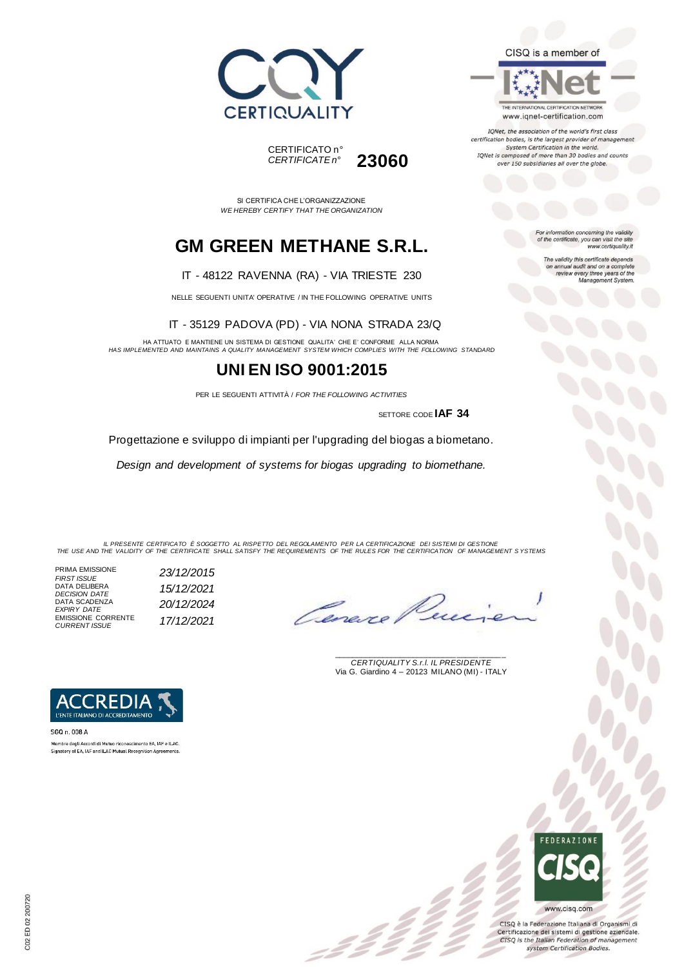



SI CERTIFICA CHE L'ORGANIZZAZIONE *WE HEREBY CERTIFY THAT THE ORGANIZATION*

# **GM GREEN METHANE S.R.L.**

#### IT - 48122 RAVENNA (RA) - VIA TRIESTE 230

NELLE SEGUENTI UNITA' OPERATIVE / IN THE FOLLOWING OPERATIVE UNITS

IT - 35129 PADOVA (PD) - VIA NONA STRADA 23/Q

HA ATTUATO E MANTIENE UN SISTEMA DI GESTIONE QUALITA' CHE E' CONFORME ALLA NORMA *HAS IMPLEMENTED AND MAINTAINS A QUALITY MANAGEMENT SYSTEM WHICH COMPLIES WITH THE FOLLOWING STANDARD*

### **UNI EN ISO 9001:2015**

PER LE SEGUENTI ATTIVITÀ / *FOR THE FOLLOWING ACTIVITIES*

SETTORE CODE **IAF 34**

Progettazione e sviluppo di impianti per l'upgrading del biogas a biometano.

*Design and development of systems for biogas upgrading to biomethane.*

IL PRESENTE CERTIFICATO E SOGGETTO AL RISPETTO DEL REGOLAMENTO PER LA CERTIFICAZIONE DEI SISTEMI DI GESTIONE<br>THE USE AND THE VALIDITY OF THE CERTIFICATE SHALL SATISFY THE REQUIREMENTS OF THE RULES FOR THE CERTIFICATION OF

=Ž

PRIMA EMISSIONE *FIRST ISSUE 23/12/2015* DATA DELIBERA *DECISION DATE 15/12/2021* DATA SCADENZA *EXPIRY DATE 20/12/2024* EMISSIONE CORRENTE *CURRENT ISSUE 17/12/2021*

\_\_\_\_\_\_\_\_\_\_\_\_\_\_\_\_\_\_\_\_\_\_\_\_\_\_\_\_\_\_\_\_\_\_\_\_\_\_\_ *CERTIQUALITY S.r.l. IL PRESIDENTE* Via G. Giardino 4 – 20123 MILANO (MI) - ITALY



SGQ n. 008 A Membro degli Accordi di Mutuo riconoscimento EA. IAF e ILAC. Signatory of EA, IAF and ILAC Mutual Recognition Agreements

CISQ è la Federazione Italiana di Organismi di Certificazione dei sistemi di gestione aziendale. CISQ is the Italian Federation of management system Certification Bodies.

CISQ is a member of

THE INTERNATIONAL CERTIFICATION NETWORK www.iqnet-certification.com

IQNet, the association of the world's first class certification bodies, is the largest provider of management System Certification in the world. IQNet is composed of more than 30 bodies and counts over 150 subsidiaries all over the globe.

> For information concerning the validity<br>of the certificate, you can visit the site www.certiquality.it

> > The validity this certificate depends<br>on annual audit and on a complete<br>review every three years of the<br>Management System.